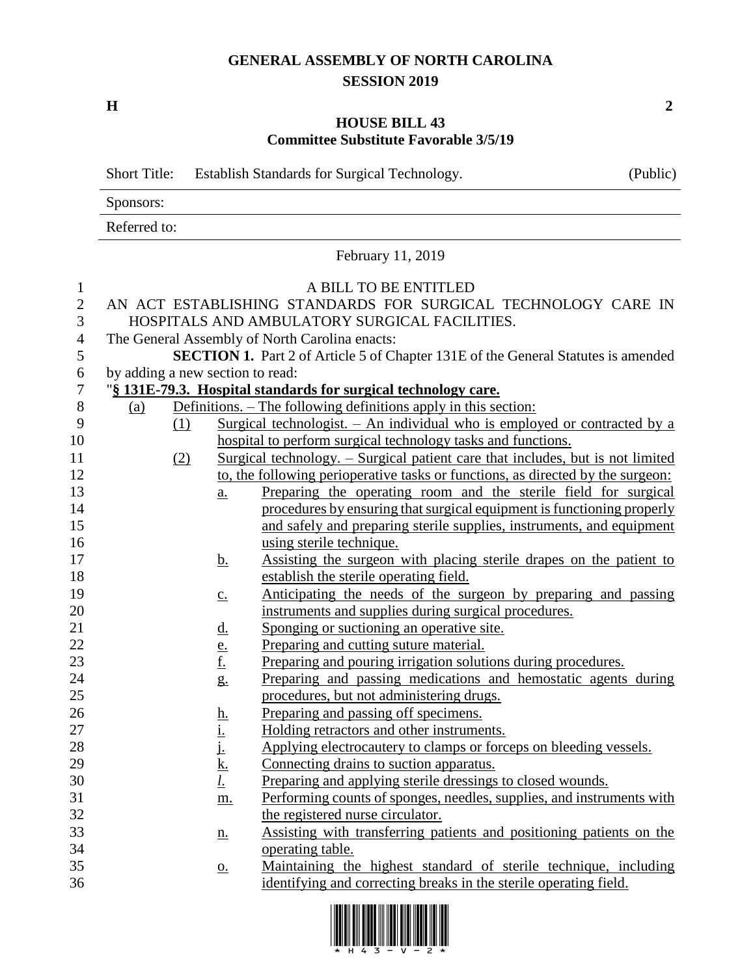## **GENERAL ASSEMBLY OF NORTH CAROLINA SESSION 2019**

**H 2**

## **HOUSE BILL 43 Committee Substitute Favorable 3/5/19**

|                | <b>Short Title:</b>              |                                                                                                                |                                                                                 | Establish Standards for Surgical Technology.                                          | (Public) |  |  |
|----------------|----------------------------------|----------------------------------------------------------------------------------------------------------------|---------------------------------------------------------------------------------|---------------------------------------------------------------------------------------|----------|--|--|
|                | Sponsors:                        |                                                                                                                |                                                                                 |                                                                                       |          |  |  |
|                | Referred to:                     |                                                                                                                |                                                                                 |                                                                                       |          |  |  |
|                |                                  |                                                                                                                |                                                                                 | February 11, 2019                                                                     |          |  |  |
| $\mathbf{1}$   |                                  |                                                                                                                |                                                                                 | A BILL TO BE ENTITLED                                                                 |          |  |  |
| $\mathbf{2}$   |                                  |                                                                                                                |                                                                                 |                                                                                       |          |  |  |
| 3              |                                  | AN ACT ESTABLISHING STANDARDS FOR SURGICAL TECHNOLOGY CARE IN<br>HOSPITALS AND AMBULATORY SURGICAL FACILITIES. |                                                                                 |                                                                                       |          |  |  |
| $\overline{4}$ |                                  |                                                                                                                |                                                                                 | The General Assembly of North Carolina enacts:                                        |          |  |  |
| 5              |                                  | <b>SECTION 1.</b> Part 2 of Article 5 of Chapter 131E of the General Statutes is amended                       |                                                                                 |                                                                                       |          |  |  |
| 6              | by adding a new section to read: |                                                                                                                |                                                                                 |                                                                                       |          |  |  |
| $\tau$         |                                  |                                                                                                                |                                                                                 | "§ 131E-79.3. Hospital standards for surgical technology care.                        |          |  |  |
| $8\phantom{1}$ | (a)                              |                                                                                                                |                                                                                 | Definitions. – The following definitions apply in this section:                       |          |  |  |
| 9              |                                  | (1)                                                                                                            |                                                                                 | Surgical technologist. $-$ An individual who is employed or contracted by a           |          |  |  |
| 10             |                                  |                                                                                                                |                                                                                 | hospital to perform surgical technology tasks and functions.                          |          |  |  |
| 11             |                                  | (2)                                                                                                            |                                                                                 | <u>Surgical technology. – Surgical patient care that includes, but is not limited</u> |          |  |  |
| 12             |                                  |                                                                                                                |                                                                                 | to, the following perioperative tasks or functions, as directed by the surgeon:       |          |  |  |
| 13             |                                  |                                                                                                                | $\underline{a}$ .                                                               | Preparing the operating room and the sterile field for surgical                       |          |  |  |
| 14             |                                  |                                                                                                                |                                                                                 | procedures by ensuring that surgical equipment is functioning properly                |          |  |  |
| 15             |                                  |                                                                                                                |                                                                                 | and safely and preparing sterile supplies, instruments, and equipment                 |          |  |  |
| 16             |                                  |                                                                                                                |                                                                                 | using sterile technique.                                                              |          |  |  |
| 17             |                                  |                                                                                                                | <u>b.</u>                                                                       | Assisting the surgeon with placing sterile drapes on the patient to                   |          |  |  |
| 18             |                                  |                                                                                                                |                                                                                 | establish the sterile operating field.                                                |          |  |  |
| 19             |                                  |                                                                                                                | $\underline{C}$ .                                                               | Anticipating the needs of the surgeon by preparing and passing                        |          |  |  |
| 20             |                                  |                                                                                                                |                                                                                 | instruments and supplies during surgical procedures.                                  |          |  |  |
| 21             |                                  |                                                                                                                | <u>d.</u>                                                                       | Sponging or suctioning an operative site.                                             |          |  |  |
| 22             |                                  |                                                                                                                |                                                                                 | Preparing and cutting suture material.                                                |          |  |  |
| 23             |                                  |                                                                                                                | $\frac{e}{f}$                                                                   | Preparing and pouring irrigation solutions during procedures.                         |          |  |  |
| 24             |                                  |                                                                                                                | $g_{\cdot}$                                                                     | Preparing and passing medications and hemostatic agents during                        |          |  |  |
| 25             |                                  |                                                                                                                |                                                                                 | procedures, but not administering drugs.                                              |          |  |  |
| 26             |                                  |                                                                                                                |                                                                                 | Preparing and passing off specimens.                                                  |          |  |  |
| 27             |                                  |                                                                                                                |                                                                                 | Holding retractors and other instruments.                                             |          |  |  |
| 28             |                                  |                                                                                                                | $\frac{\underline{\mathbf{h}}}{\underline{\mathbf{i}}}\underline{\mathbf{j}}$ . | Applying electrocautery to clamps or forceps on bleeding vessels.                     |          |  |  |
| 29             |                                  |                                                                                                                | $\frac{k}{l}$                                                                   | Connecting drains to suction apparatus.                                               |          |  |  |
| 30             |                                  |                                                                                                                |                                                                                 | Preparing and applying sterile dressings to closed wounds.                            |          |  |  |
| 31             |                                  |                                                                                                                | m.                                                                              | Performing counts of sponges, needles, supplies, and instruments with                 |          |  |  |
| 32             |                                  |                                                                                                                |                                                                                 | the registered nurse circulator.                                                      |          |  |  |
| 33             |                                  |                                                                                                                | <u>n.</u>                                                                       | Assisting with transferring patients and positioning patients on the                  |          |  |  |
| 34             |                                  |                                                                                                                |                                                                                 | operating table.                                                                      |          |  |  |
| 35             |                                  |                                                                                                                | $\underline{\mathbf{O}}$ .                                                      | Maintaining the highest standard of sterile technique, including                      |          |  |  |
| 36             |                                  |                                                                                                                |                                                                                 | identifying and correcting breaks in the sterile operating field.                     |          |  |  |

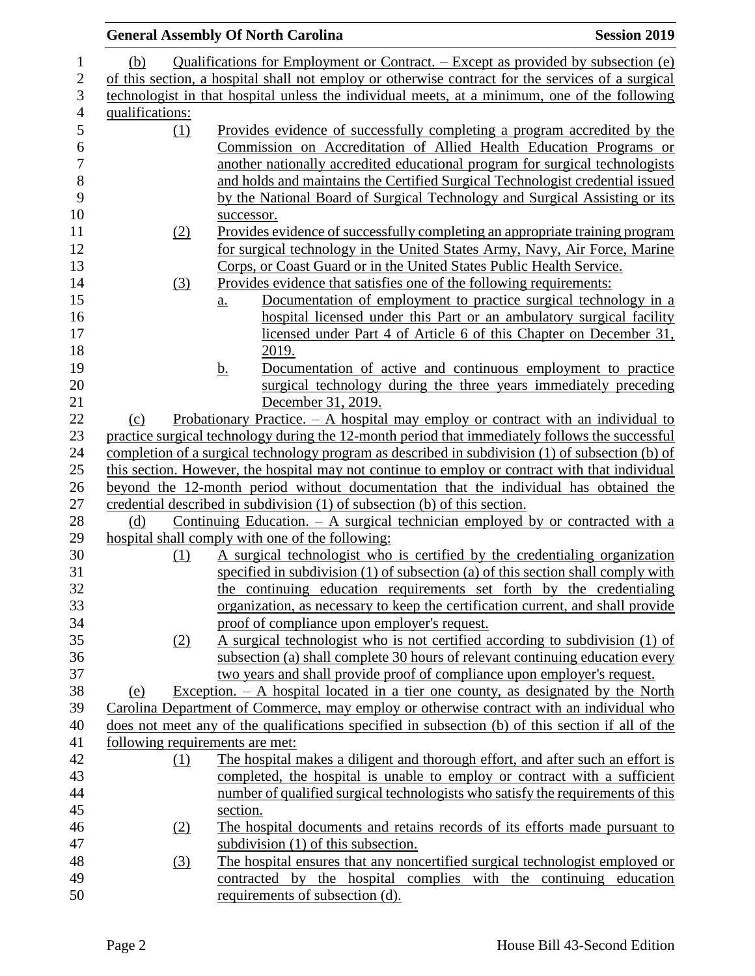|                 |                  | <b>General Assembly Of North Carolina</b>                                                          | <b>Session 2019</b> |
|-----------------|------------------|----------------------------------------------------------------------------------------------------|---------------------|
| (b)             |                  | Qualifications for Employment or Contract. – Except as provided by subsection (e)                  |                     |
|                 |                  | of this section, a hospital shall not employ or otherwise contract for the services of a surgical  |                     |
|                 |                  | technologist in that hospital unless the individual meets, at a minimum, one of the following      |                     |
| qualifications: |                  |                                                                                                    |                     |
|                 | (1)              | Provides evidence of successfully completing a program accredited by the                           |                     |
|                 |                  | Commission on Accreditation of Allied Health Education Programs or                                 |                     |
|                 |                  | another nationally accredited educational program for surgical technologists                       |                     |
|                 |                  | and holds and maintains the Certified Surgical Technologist credential issued                      |                     |
|                 |                  | by the National Board of Surgical Technology and Surgical Assisting or its                         |                     |
|                 |                  |                                                                                                    |                     |
|                 |                  | successor.                                                                                         |                     |
|                 | (2)              | Provides evidence of successfully completing an appropriate training program                       |                     |
|                 |                  | for surgical technology in the United States Army, Navy, Air Force, Marine                         |                     |
|                 |                  | Corps, or Coast Guard or in the United States Public Health Service.                               |                     |
|                 | (3)              | Provides evidence that satisfies one of the following requirements:                                |                     |
|                 |                  | Documentation of employment to practice surgical technology in a<br>a.                             |                     |
|                 |                  | hospital licensed under this Part or an ambulatory surgical facility                               |                     |
|                 |                  | licensed under Part 4 of Article 6 of this Chapter on December 31,                                 |                     |
|                 |                  | 2019.                                                                                              |                     |
|                 |                  | Documentation of active and continuous employment to practice<br><u>b.</u>                         |                     |
|                 |                  | surgical technology during the three years immediately preceding                                   |                     |
|                 |                  | December 31, 2019.                                                                                 |                     |
| (c)             |                  | Probationary Practice. $-$ A hospital may employ or contract with an individual to                 |                     |
|                 |                  | practice surgical technology during the 12-month period that immediately follows the successful    |                     |
|                 |                  | completion of a surgical technology program as described in subdivision (1) of subsection (b) of   |                     |
|                 |                  | this section. However, the hospital may not continue to employ or contract with that individual    |                     |
|                 |                  | beyond the 12-month period without documentation that the individual has obtained the              |                     |
|                 |                  | credential described in subdivision (1) of subsection (b) of this section.                         |                     |
| (d)             |                  | <u>Continuing Education. <math>-</math> A surgical technician employed by or contracted with a</u> |                     |
|                 |                  | hospital shall comply with one of the following:                                                   |                     |
|                 | (1)              | A surgical technologist who is certified by the credentialing organization                         |                     |
|                 |                  | specified in subdivision (1) of subsection (a) of this section shall comply with                   |                     |
|                 |                  | the continuing education requirements set forth by the credentialing                               |                     |
|                 |                  | organization, as necessary to keep the certification current, and shall provide                    |                     |
|                 |                  | proof of compliance upon employer's request.                                                       |                     |
|                 | (2)              | A surgical technologist who is not certified according to subdivision (1) of                       |                     |
|                 |                  | subsection (a) shall complete 30 hours of relevant continuing education every                      |                     |
|                 |                  | two years and shall provide proof of compliance upon employer's request.                           |                     |
| (e)             |                  | Exception. $- A$ hospital located in a tier one county, as designated by the North                 |                     |
|                 |                  | Carolina Department of Commerce, may employ or otherwise contract with an individual who           |                     |
|                 |                  | does not meet any of the qualifications specified in subsection (b) of this section if all of the  |                     |
|                 |                  | following requirements are met:                                                                    |                     |
|                 | (1)              | The hospital makes a diligent and thorough effort, and after such an effort is                     |                     |
|                 |                  | completed, the hospital is unable to employ or contract with a sufficient                          |                     |
|                 |                  | number of qualified surgical technologists who satisfy the requirements of this                    |                     |
|                 |                  | section.                                                                                           |                     |
|                 |                  |                                                                                                    |                     |
|                 | (2)              | The hospital documents and retains records of its efforts made pursuant to                         |                     |
|                 |                  | subdivision (1) of this subsection.                                                                |                     |
|                 | $\left(3\right)$ | The hospital ensures that any noncertified surgical technologist employed or                       |                     |
|                 |                  | contracted by the hospital complies with the continuing education                                  |                     |
|                 |                  | requirements of subsection (d).                                                                    |                     |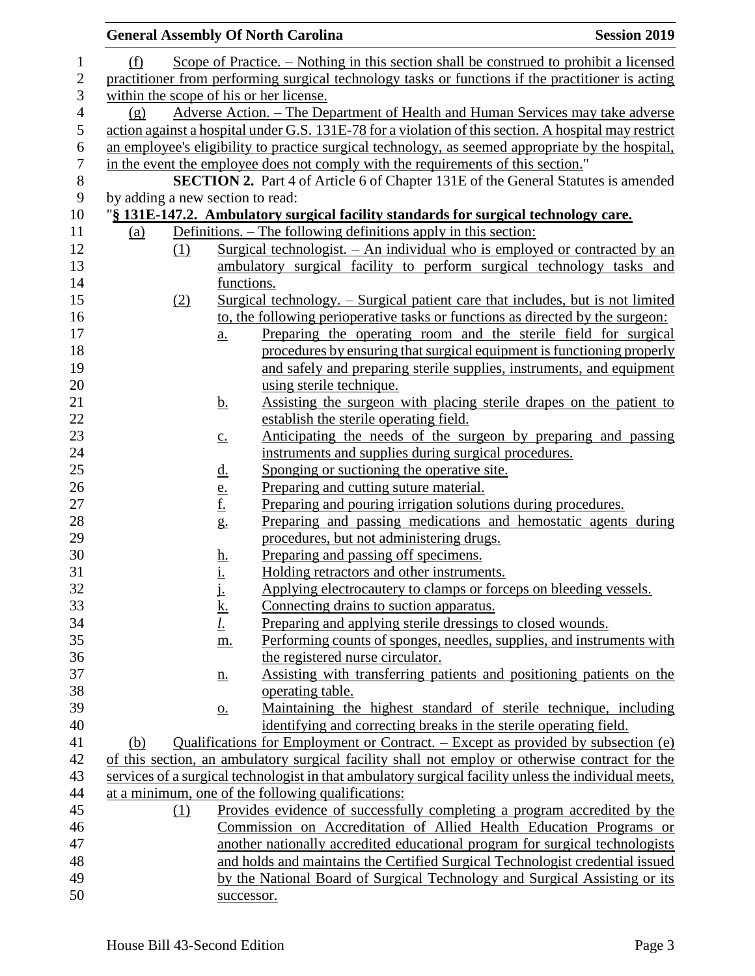|                |                                  |                                                                                                   |                                       | <b>General Assembly Of North Carolina</b>                                                                                                                                            | <b>Session 2019</b> |  |
|----------------|----------------------------------|---------------------------------------------------------------------------------------------------|---------------------------------------|--------------------------------------------------------------------------------------------------------------------------------------------------------------------------------------|---------------------|--|
| $\mathbf{1}$   | (f)                              |                                                                                                   |                                       | Scope of Practice. – Nothing in this section shall be construed to prohibit a licensed                                                                                               |                     |  |
| $\mathbf{2}$   |                                  | practitioner from performing surgical technology tasks or functions if the practitioner is acting |                                       |                                                                                                                                                                                      |                     |  |
| 3              |                                  | within the scope of his or her license.                                                           |                                       |                                                                                                                                                                                      |                     |  |
| $\overline{4}$ | (g)                              | Adverse Action. – The Department of Health and Human Services may take adverse                    |                                       |                                                                                                                                                                                      |                     |  |
| $\mathfrak{S}$ |                                  |                                                                                                   |                                       | action against a hospital under G.S. 131E-78 for a violation of this section. A hospital may restrict                                                                                |                     |  |
| 6              |                                  |                                                                                                   |                                       | an employee's eligibility to practice surgical technology, as seemed appropriate by the hospital,                                                                                    |                     |  |
| $\overline{7}$ |                                  |                                                                                                   |                                       | in the event the employee does not comply with the requirements of this section."                                                                                                    |                     |  |
| $8\,$          |                                  |                                                                                                   |                                       | <b>SECTION 2.</b> Part 4 of Article 6 of Chapter 131E of the General Statutes is amended                                                                                             |                     |  |
| 9              | by adding a new section to read: |                                                                                                   |                                       |                                                                                                                                                                                      |                     |  |
| 10             |                                  |                                                                                                   |                                       | "§ 131E-147.2. Ambulatory surgical facility standards for surgical technology care.                                                                                                  |                     |  |
| 11             | <u>(a)</u>                       |                                                                                                   |                                       | Definitions. – The following definitions apply in this section:                                                                                                                      |                     |  |
| 12             |                                  | (1)                                                                                               |                                       | <u>Surgical technologist. – An individual who is employed or contracted by an</u>                                                                                                    |                     |  |
| 13             |                                  |                                                                                                   |                                       | ambulatory surgical facility to perform surgical technology tasks and                                                                                                                |                     |  |
| 14             |                                  |                                                                                                   | functions.                            |                                                                                                                                                                                      |                     |  |
| 15             |                                  | (2)                                                                                               |                                       | Surgical technology. – Surgical patient care that includes, but is not limited                                                                                                       |                     |  |
| 16             |                                  |                                                                                                   |                                       | to, the following perioperative tasks or functions as directed by the surgeon:                                                                                                       |                     |  |
| 17             |                                  |                                                                                                   | $\underline{a}$ .                     | Preparing the operating room and the sterile field for surgical                                                                                                                      |                     |  |
| $18\,$         |                                  |                                                                                                   |                                       | procedures by ensuring that surgical equipment is functioning properly                                                                                                               |                     |  |
| 19             |                                  |                                                                                                   |                                       | and safely and preparing sterile supplies, instruments, and equipment                                                                                                                |                     |  |
| 20             |                                  |                                                                                                   |                                       | using sterile technique.                                                                                                                                                             |                     |  |
| 21             |                                  |                                                                                                   | <u>b.</u>                             | Assisting the surgeon with placing sterile drapes on the patient to                                                                                                                  |                     |  |
| 22             |                                  |                                                                                                   |                                       | establish the sterile operating field.                                                                                                                                               |                     |  |
| 23             |                                  |                                                                                                   | $\underline{c}$ .                     | Anticipating the needs of the surgeon by preparing and passing                                                                                                                       |                     |  |
| $24\,$         |                                  |                                                                                                   |                                       | instruments and supplies during surgical procedures.                                                                                                                                 |                     |  |
| 25             |                                  |                                                                                                   | <u>d.</u>                             | Sponging or suctioning the operative site.                                                                                                                                           |                     |  |
| 26             |                                  |                                                                                                   | $\frac{e}{f}$                         | Preparing and cutting suture material.                                                                                                                                               |                     |  |
| 27             |                                  |                                                                                                   |                                       | Preparing and pouring irrigation solutions during procedures.                                                                                                                        |                     |  |
| $28\,$         |                                  |                                                                                                   | g.                                    | Preparing and passing medications and hemostatic agents during                                                                                                                       |                     |  |
| 29             |                                  |                                                                                                   |                                       | procedures, but not administering drugs.                                                                                                                                             |                     |  |
| 30             |                                  |                                                                                                   | $\frac{\underline{h}}{\underline{i}}$ | Preparing and passing off specimens.                                                                                                                                                 |                     |  |
| 31             |                                  |                                                                                                   |                                       | Holding retractors and other instruments.                                                                                                                                            |                     |  |
| 32             |                                  |                                                                                                   | j.                                    | Applying electrocautery to clamps or forceps on bleeding vessels.                                                                                                                    |                     |  |
| 33             |                                  |                                                                                                   | <u>k.</u>                             | Connecting drains to suction apparatus.                                                                                                                                              |                     |  |
| 34             |                                  |                                                                                                   | <u>l.</u>                             | Preparing and applying sterile dressings to closed wounds.                                                                                                                           |                     |  |
| 35             |                                  |                                                                                                   | m.                                    | Performing counts of sponges, needles, supplies, and instruments with                                                                                                                |                     |  |
| 36             |                                  |                                                                                                   |                                       | the registered nurse circulator.                                                                                                                                                     |                     |  |
| 37             |                                  |                                                                                                   | <u>n.</u>                             | Assisting with transferring patients and positioning patients on the                                                                                                                 |                     |  |
| 38             |                                  |                                                                                                   |                                       | operating table.                                                                                                                                                                     |                     |  |
| 39<br>40       |                                  |                                                                                                   | $\underline{0}$ .                     | Maintaining the highest standard of sterile technique, including                                                                                                                     |                     |  |
| 41             |                                  |                                                                                                   |                                       | identifying and correcting breaks in the sterile operating field.                                                                                                                    |                     |  |
| 42             | (b)                              |                                                                                                   |                                       | Qualifications for Employment or Contract. – Except as provided by subsection (e)<br>of this section, an ambulatory surgical facility shall not employ or otherwise contract for the |                     |  |
| 43             |                                  |                                                                                                   |                                       | services of a surgical technologist in that ambulatory surgical facility unless the individual meets,                                                                                |                     |  |
| 44             |                                  |                                                                                                   |                                       | at a minimum, one of the following qualifications:                                                                                                                                   |                     |  |
| 45             |                                  | (1)                                                                                               |                                       | Provides evidence of successfully completing a program accredited by the                                                                                                             |                     |  |
| 46             |                                  |                                                                                                   |                                       | Commission on Accreditation of Allied Health Education Programs or                                                                                                                   |                     |  |
| 47             |                                  |                                                                                                   |                                       | another nationally accredited educational program for surgical technologists                                                                                                         |                     |  |
| 48             |                                  |                                                                                                   |                                       | and holds and maintains the Certified Surgical Technologist credential issued                                                                                                        |                     |  |
| 49             |                                  |                                                                                                   |                                       | by the National Board of Surgical Technology and Surgical Assisting or its                                                                                                           |                     |  |
| 50             |                                  |                                                                                                   | successor.                            |                                                                                                                                                                                      |                     |  |
|                |                                  |                                                                                                   |                                       |                                                                                                                                                                                      |                     |  |